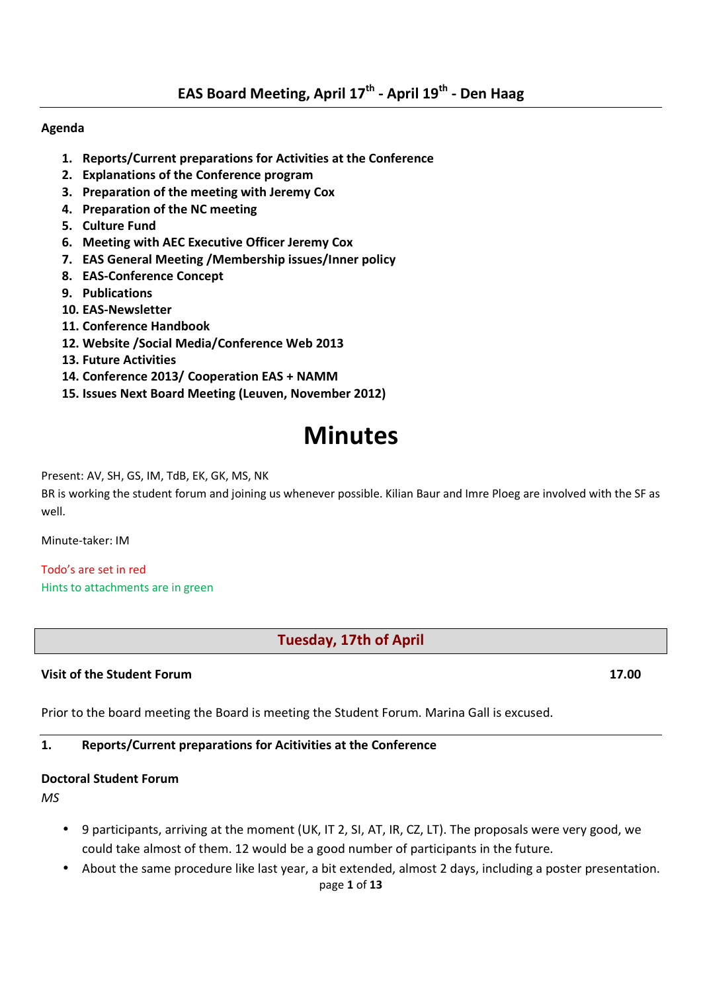#### **Agenda**

- **1. Reports/Current preparations for Activities at the Conference**
- **2. Explanations of the Conference program**
- **3. Preparation of the meeting with Jeremy Cox**
- **4. Preparation of the NC meeting**
- **5. Culture Fund**
- **6. Meeting with AEC Executive Officer Jeremy Cox**
- **7. EAS General Meeting /Membership issues/Inner policy**
- **8. EAS-Conference Concept**
- **9. Publications**
- **10. EAS-Newsletter**
- **11. Conference Handbook**
- **12. Website /Social Media/Conference Web 2013**
- **13. Future Activities**
- **14. Conference 2013/ Cooperation EAS + NAMM**
- **15. Issues Next Board Meeting (Leuven, November 2012)**

# **Minutes**

Present: AV, SH, GS, IM, TdB, EK, GK, MS, NK

BR is working the student forum and joining us whenever possible. Kilian Baur and Imre Ploeg are involved with the SF as well.

Minute-taker: IM

Todo's are set in red Hints to attachments are in green

**Tuesday, 17th of April** 

#### **Visit of the Student Forum 17.00**

Prior to the board meeting the Board is meeting the Student Forum. Marina Gall is excused.

# **1. Reports/Current preparations for Acitivities at the Conference**

# **Doctoral Student Forum**

*MS* 

- 9 participants, arriving at the moment (UK, IT 2, SI, AT, IR, CZ, LT). The proposals were very good, we could take almost of them. 12 would be a good number of participants in the future.
- About the same procedure like last year, a bit extended, almost 2 days, including a poster presentation.

page **1** of **13**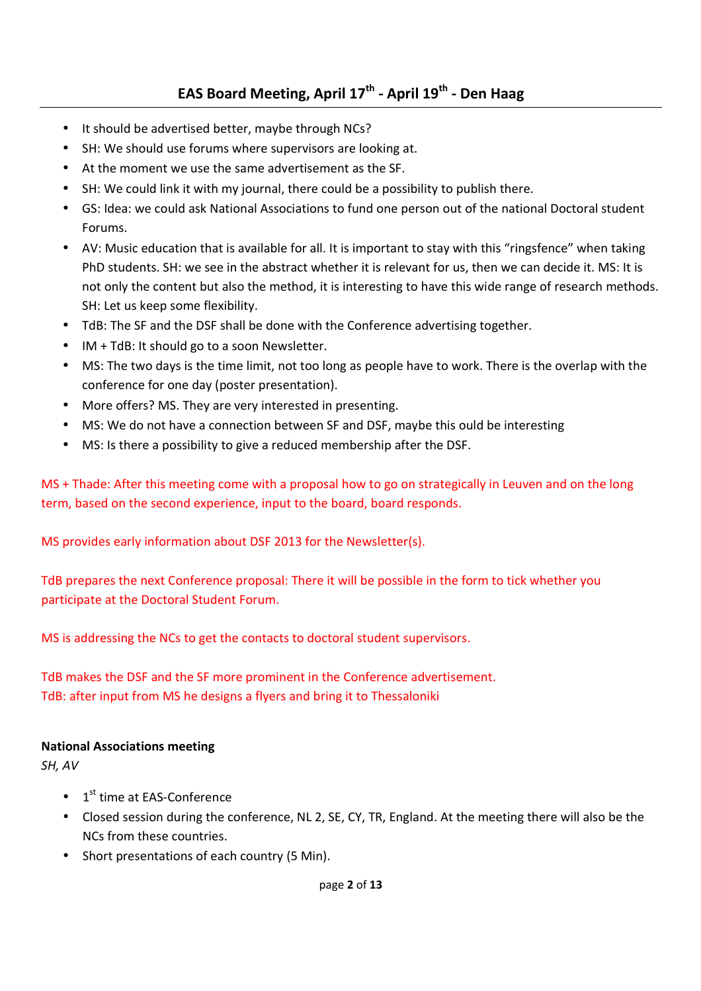# **EAS Board Meeting, April 17th - April 19th - Den Haag**

- It should be advertised better, maybe through NCs?
- SH: We should use forums where supervisors are looking at.
- At the moment we use the same advertisement as the SF.
- SH: We could link it with my journal, there could be a possibility to publish there.
- GS: Idea: we could ask National Associations to fund one person out of the national Doctoral student Forums.
- AV: Music education that is available for all. It is important to stay with this "ringsfence" when taking PhD students. SH: we see in the abstract whether it is relevant for us, then we can decide it. MS: It is not only the content but also the method, it is interesting to have this wide range of research methods. SH: Let us keep some flexibility.
- TdB: The SF and the DSF shall be done with the Conference advertising together.
- IM + TdB: It should go to a soon Newsletter.
- MS: The two days is the time limit, not too long as people have to work. There is the overlap with the conference for one day (poster presentation).
- More offers? MS. They are very interested in presenting.
- MS: We do not have a connection between SF and DSF, maybe this ould be interesting
- MS: Is there a possibility to give a reduced membership after the DSF.

MS + Thade: After this meeting come with a proposal how to go on strategically in Leuven and on the long term, based on the second experience, input to the board, board responds.

MS provides early information about DSF 2013 for the Newsletter(s).

TdB prepares the next Conference proposal: There it will be possible in the form to tick whether you participate at the Doctoral Student Forum.

MS is addressing the NCs to get the contacts to doctoral student supervisors.

TdB makes the DSF and the SF more prominent in the Conference advertisement. TdB: after input from MS he designs a flyers and bring it to Thessaloniki

#### **National Associations meeting**

*SH, AV* 

- $\bullet$  1<sup>st</sup> time at EAS-Conference
- Closed session during the conference, NL 2, SE, CY, TR, England. At the meeting there will also be the NCs from these countries.
- Short presentations of each country (5 Min).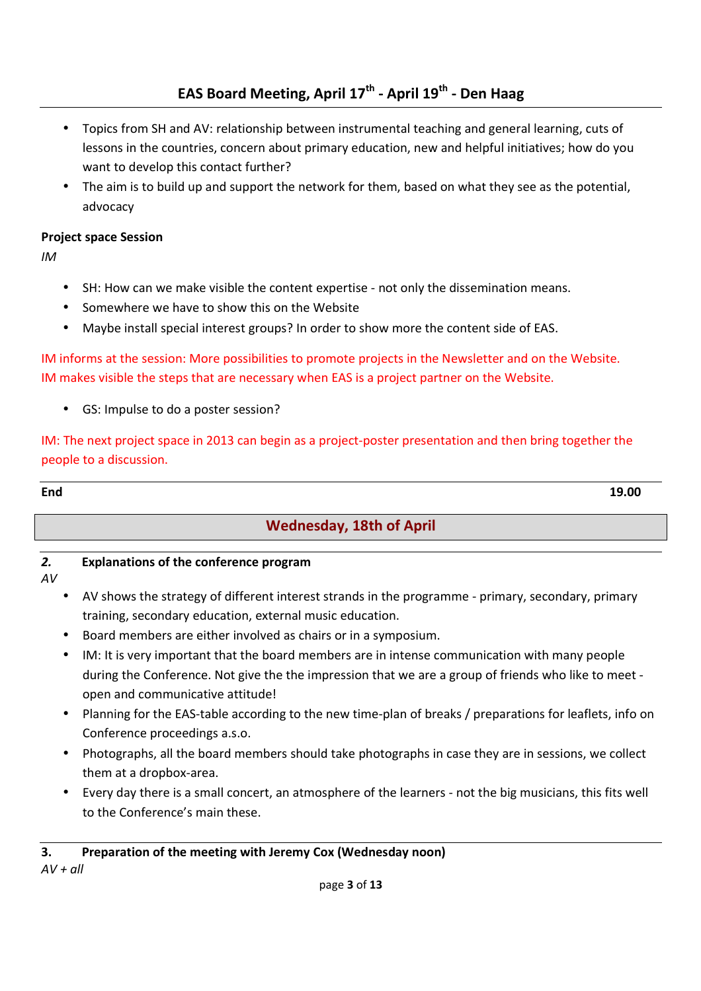# **EAS Board Meeting, April 17th - April 19th - Den Haag**

- Topics from SH and AV: relationship between instrumental teaching and general learning, cuts of lessons in the countries, concern about primary education, new and helpful initiatives; how do you want to develop this contact further?
- The aim is to build up and support the network for them, based on what they see as the potential, advocacy

#### **Project space Session**

*IM* 

- SH: How can we make visible the content expertise not only the dissemination means.
- Somewhere we have to show this on the Website
- Maybe install special interest groups? In order to show more the content side of EAS.

## IM informs at the session: More possibilities to promote projects in the Newsletter and on the Website. IM makes visible the steps that are necessary when EAS is a project partner on the Website.

• GS: Impulse to do a poster session?

IM: The next project space in 2013 can begin as a project-poster presentation and then bring together the people to a discussion.

**End 19.00** 

# **Wednesday, 18th of April**

# *2.* **Explanations of the conference program**

*AV* 

- AV shows the strategy of different interest strands in the programme primary, secondary, primary training, secondary education, external music education.
- Board members are either involved as chairs or in a symposium.
- IM: It is very important that the board members are in intense communication with many people during the Conference. Not give the the impression that we are a group of friends who like to meet open and communicative attitude!
- Planning for the EAS-table according to the new time-plan of breaks / preparations for leaflets, info on Conference proceedings a.s.o.
- Photographs, all the board members should take photographs in case they are in sessions, we collect them at a dropbox-area.
- Every day there is a small concert, an atmosphere of the learners not the big musicians, this fits well to the Conference's main these.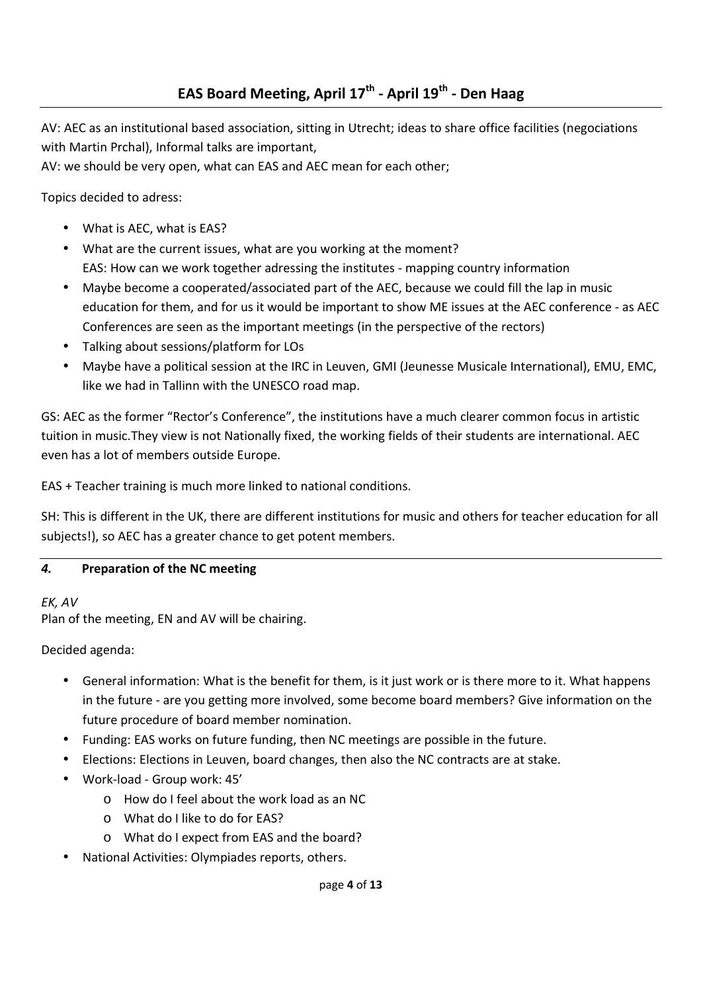AV: AEC as an institutional based association, sitting in Utrecht; ideas to share office facilities (negociations with Martin Prchal), Informal talks are important,

AV: we should be very open, what can EAS and AEC mean for each other;

Topics decided to adress:

- What is AEC, what is EAS?
- What are the current issues, what are you working at the moment? EAS: How can we work together adressing the institutes - mapping country information
- Maybe become a cooperated/associated part of the AEC, because we could fill the lap in music education for them, and for us it would be important to show ME issues at the AEC conference - as AEC Conferences are seen as the important meetings (in the perspective of the rectors)
- Talking about sessions/platform for LOs
- Maybe have a political session at the IRC in Leuven, GMI (Jeunesse Musicale International), EMU, EMC, like we had in Tallinn with the UNESCO road map.

GS: AEC as the former "Rector's Conference", the institutions have a much clearer common focus in artistic tuition in music.They view is not Nationally fixed, the working fields of their students are international. AEC even has a lot of members outside Europe.

EAS + Teacher training is much more linked to national conditions.

SH: This is different in the UK, there are different institutions for music and others for teacher education for all subjects!), so AEC has a greater chance to get potent members.

# *4.* **Preparation of the NC meeting**

# *EK, AV*

Plan of the meeting, EN and AV will be chairing.

Decided agenda:

- General information: What is the benefit for them, is it just work or is there more to it. What happens in the future - are you getting more involved, some become board members? Give information on the future procedure of board member nomination.
- Funding: EAS works on future funding, then NC meetings are possible in the future.
- Elections: Elections in Leuven, board changes, then also the NC contracts are at stake.
- Work-load Group work: 45'
	- o How do I feel about the work load as an NC
	- o What do I like to do for EAS?
	- o What do I expect from EAS and the board?
- National Activities: Olympiades reports, others.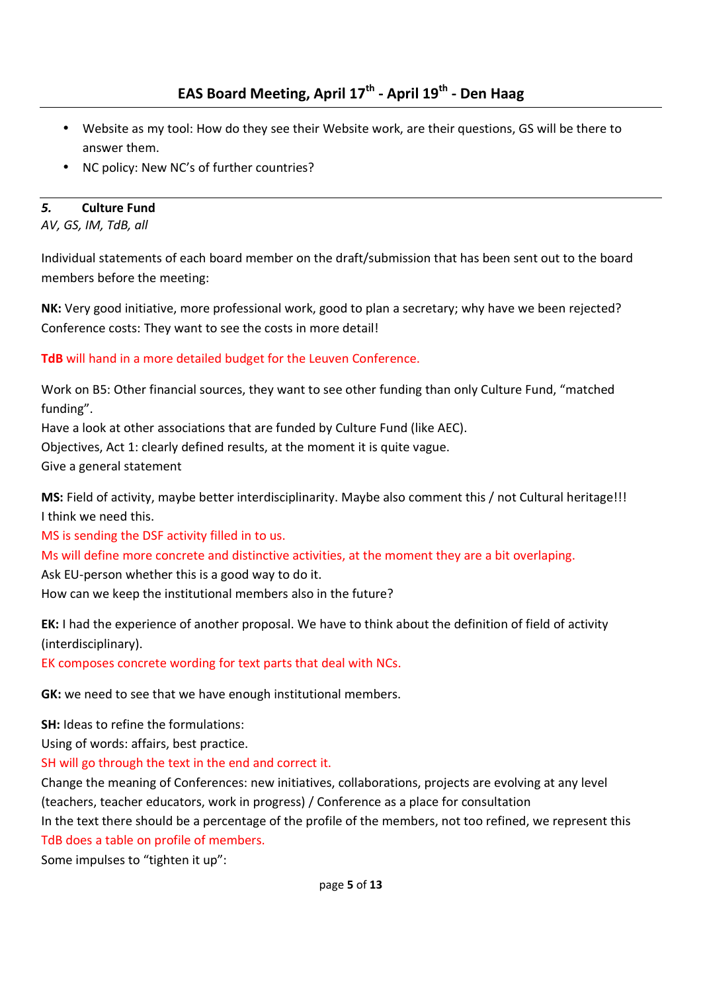- Website as my tool: How do they see their Website work, are their questions, GS will be there to answer them.
- NC policy: New NC's of further countries?

# *5.* **Culture Fund**

*AV, GS, IM, TdB, all* 

Individual statements of each board member on the draft/submission that has been sent out to the board members before the meeting:

**NK:** Very good initiative, more professional work, good to plan a secretary; why have we been rejected? Conference costs: They want to see the costs in more detail!

**TdB** will hand in a more detailed budget for the Leuven Conference.

Work on B5: Other financial sources, they want to see other funding than only Culture Fund, "matched funding".

Have a look at other associations that are funded by Culture Fund (like AEC).

Objectives, Act 1: clearly defined results, at the moment it is quite vague.

Give a general statement

**MS:** Field of activity, maybe better interdisciplinarity. Maybe also comment this / not Cultural heritage!!! I think we need this.

MS is sending the DSF activity filled in to us.

Ms will define more concrete and distinctive activities, at the moment they are a bit overlaping.

Ask EU-person whether this is a good way to do it.

How can we keep the institutional members also in the future?

**EK:** I had the experience of another proposal. We have to think about the definition of field of activity (interdisciplinary).

EK composes concrete wording for text parts that deal with NCs.

**GK:** we need to see that we have enough institutional members.

**SH:** Ideas to refine the formulations:

Using of words: affairs, best practice.

SH will go through the text in the end and correct it.

Change the meaning of Conferences: new initiatives, collaborations, projects are evolving at any level (teachers, teacher educators, work in progress) / Conference as a place for consultation

In the text there should be a percentage of the profile of the members, not too refined, we represent this TdB does a table on profile of members.

Some impulses to "tighten it up":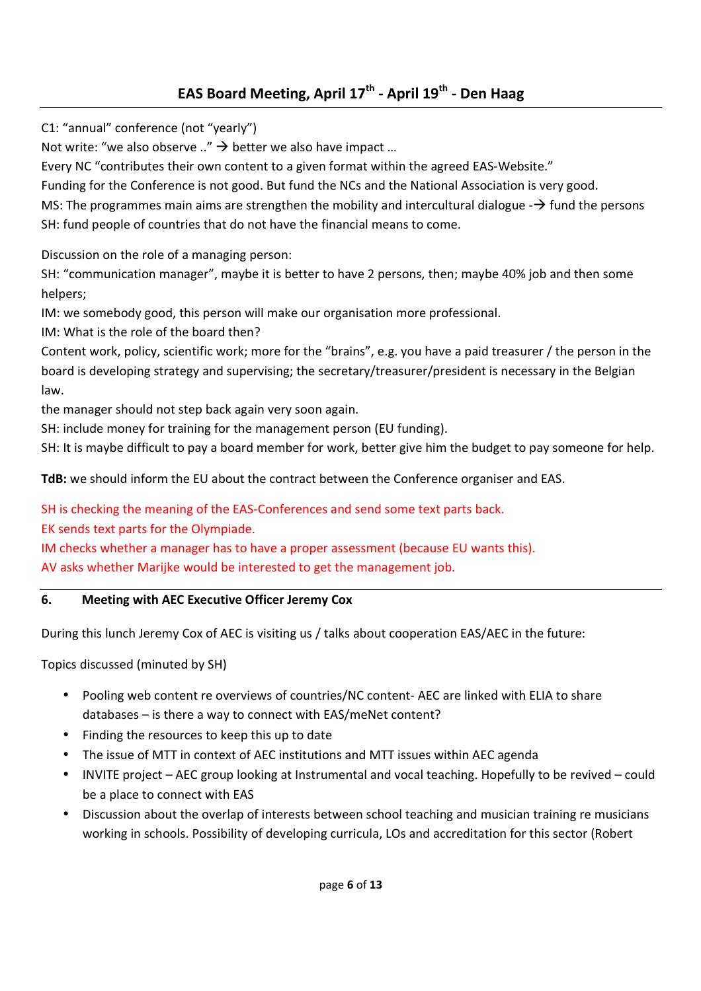# **EAS Board Meeting, April 17th - April 19th - Den Haag**

C1: "annual" conference (not "yearly")

Not write: "we also observe .."  $\rightarrow$  better we also have impact ...

Every NC "contributes their own content to a given format within the agreed EAS-Website."

Funding for the Conference is not good. But fund the NCs and the National Association is very good.

MS: The programmes main aims are strengthen the mobility and intercultural dialogue  $\rightarrow$  fund the persons SH: fund people of countries that do not have the financial means to come.

Discussion on the role of a managing person:

SH: "communication manager", maybe it is better to have 2 persons, then; maybe 40% job and then some helpers;

IM: we somebody good, this person will make our organisation more professional.

IM: What is the role of the board then?

Content work, policy, scientific work; more for the "brains", e.g. you have a paid treasurer / the person in the board is developing strategy and supervising; the secretary/treasurer/president is necessary in the Belgian law.

the manager should not step back again very soon again.

SH: include money for training for the management person (EU funding).

SH: It is maybe difficult to pay a board member for work, better give him the budget to pay someone for help.

**TdB:** we should inform the EU about the contract between the Conference organiser and EAS.

SH is checking the meaning of the EAS-Conferences and send some text parts back.

EK sends text parts for the Olympiade.

IM checks whether a manager has to have a proper assessment (because EU wants this).

AV asks whether Marijke would be interested to get the management job.

# **6. Meeting with AEC Executive Officer Jeremy Cox**

During this lunch Jeremy Cox of AEC is visiting us / talks about cooperation EAS/AEC in the future:

Topics discussed (minuted by SH)

- Pooling web content re overviews of countries/NC content- AEC are linked with ELIA to share databases – is there a way to connect with EAS/meNet content?
- Finding the resources to keep this up to date
- The issue of MTT in context of AEC institutions and MTT issues within AEC agenda
- INVITE project AEC group looking at Instrumental and vocal teaching. Hopefully to be revived could be a place to connect with EAS
- Discussion about the overlap of interests between school teaching and musician training re musicians working in schools. Possibility of developing curricula, LOs and accreditation for this sector (Robert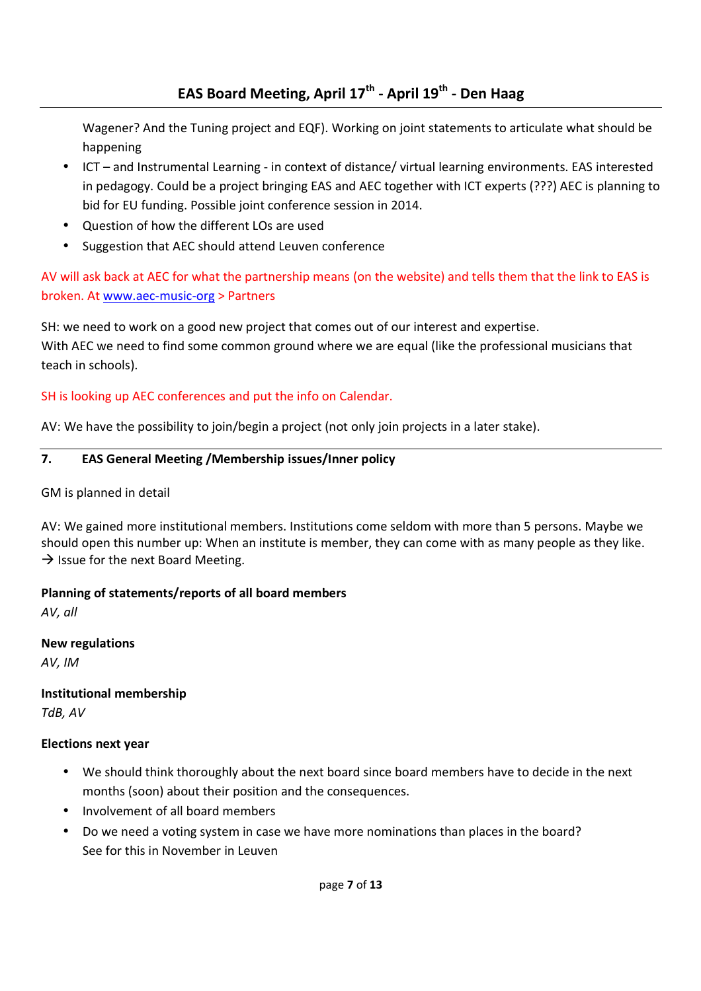Wagener? And the Tuning project and EQF). Working on joint statements to articulate what should be happening

- ICT and Instrumental Learning in context of distance/ virtual learning environments. EAS interested in pedagogy. Could be a project bringing EAS and AEC together with ICT experts (???) AEC is planning to bid for EU funding. Possible joint conference session in 2014.
- Question of how the different LOs are used
- Suggestion that AEC should attend Leuven conference

AV will ask back at AEC for what the partnership means (on the website) and tells them that the link to EAS is broken. At www.aec-music-org > Partners

SH: we need to work on a good new project that comes out of our interest and expertise. With AEC we need to find some common ground where we are equal (like the professional musicians that teach in schools).

# SH is looking up AEC conferences and put the info on Calendar.

AV: We have the possibility to join/begin a project (not only join projects in a later stake).

# **7. EAS General Meeting /Membership issues/Inner policy**

GM is planned in detail

AV: We gained more institutional members. Institutions come seldom with more than 5 persons. Maybe we should open this number up: When an institute is member, they can come with as many people as they like.  $\rightarrow$  Issue for the next Board Meeting.

# **Planning of statements/reports of all board members**

*AV, all* 

**New regulations**  *AV, IM* 

**Institutional membership**  *TdB, AV* 

# **Elections next year**

- We should think thoroughly about the next board since board members have to decide in the next months (soon) about their position and the consequences.
- Involvement of all board members
- Do we need a voting system in case we have more nominations than places in the board? See for this in November in Leuven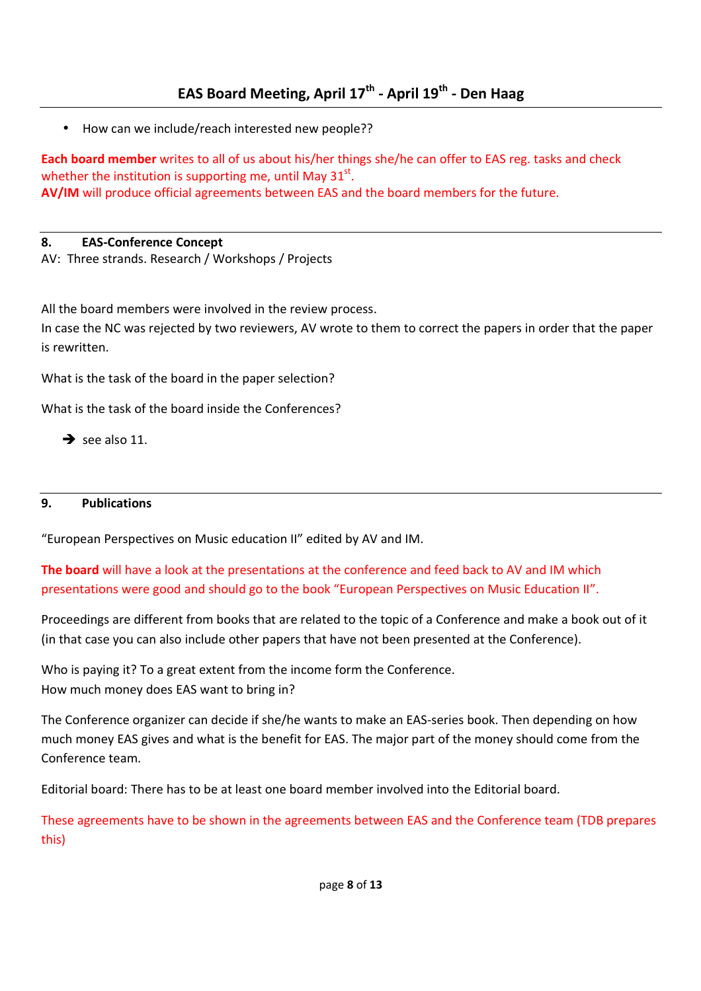• How can we include/reach interested new people??

**Each board member** writes to all of us about his/her things she/he can offer to EAS reg. tasks and check whether the institution is supporting me, until May  $31^{st}$ . **AV/IM** will produce official agreements between EAS and the board members for the future.

# **8. EAS-Conference Concept**

AV: Three strands. Research / Workshops / Projects

All the board members were involved in the review process.

In case the NC was rejected by two reviewers, AV wrote to them to correct the papers in order that the paper is rewritten.

What is the task of the board in the paper selection?

What is the task of the board inside the Conferences?

 $\rightarrow$  see also 11.

# **9. Publications**

"European Perspectives on Music education II" edited by AV and IM.

**The board** will have a look at the presentations at the conference and feed back to AV and IM which presentations were good and should go to the book "European Perspectives on Music Education II".

Proceedings are different from books that are related to the topic of a Conference and make a book out of it (in that case you can also include other papers that have not been presented at the Conference).

Who is paying it? To a great extent from the income form the Conference. How much money does EAS want to bring in?

The Conference organizer can decide if she/he wants to make an EAS-series book. Then depending on how much money EAS gives and what is the benefit for EAS. The major part of the money should come from the Conference team.

Editorial board: There has to be at least one board member involved into the Editorial board.

These agreements have to be shown in the agreements between EAS and the Conference team (TDB prepares this)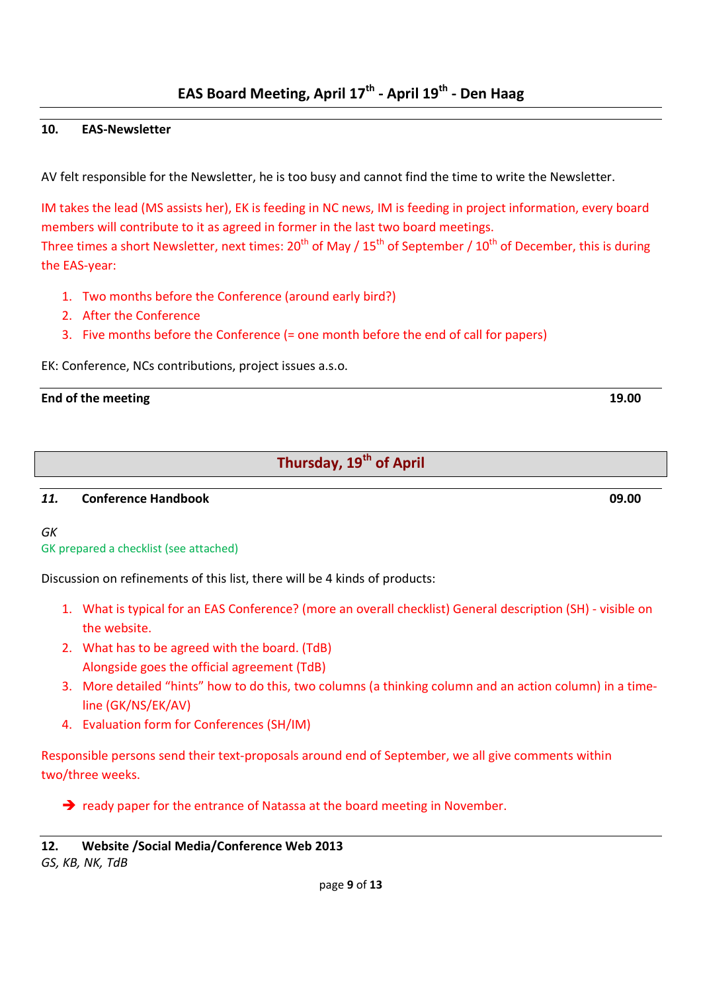#### **10. EAS-Newsletter**

AV felt responsible for the Newsletter, he is too busy and cannot find the time to write the Newsletter.

IM takes the lead (MS assists her), EK is feeding in NC news, IM is feeding in project information, every board members will contribute to it as agreed in former in the last two board meetings. Three times a short Newsletter, next times:  $20^{th}$  of May /  $15^{th}$  of September /  $10^{th}$  of December, this is during the EAS-year:

- 1. Two months before the Conference (around early bird?)
- 2. After the Conference
- 3. Five months before the Conference (= one month before the end of call for papers)

EK: Conference, NCs contributions, project issues a.s.o.

#### **End of the meeting 19.00**

# **Thursday, 19th of April**

#### *11.* **Conference Handbook 09.00**

#### *GK*

GK prepared a checklist (see attached)

Discussion on refinements of this list, there will be 4 kinds of products:

- 1. What is typical for an EAS Conference? (more an overall checklist) General description (SH) visible on the website.
- 2. What has to be agreed with the board. (TdB) Alongside goes the official agreement (TdB)
- 3. More detailed "hints" how to do this, two columns (a thinking column and an action column) in a timeline (GK/NS/EK/AV)
- 4. Evaluation form for Conferences (SH/IM)

Responsible persons send their text-proposals around end of September, we all give comments within two/three weeks.

> ready paper for the entrance of Natassa at the board meeting in November.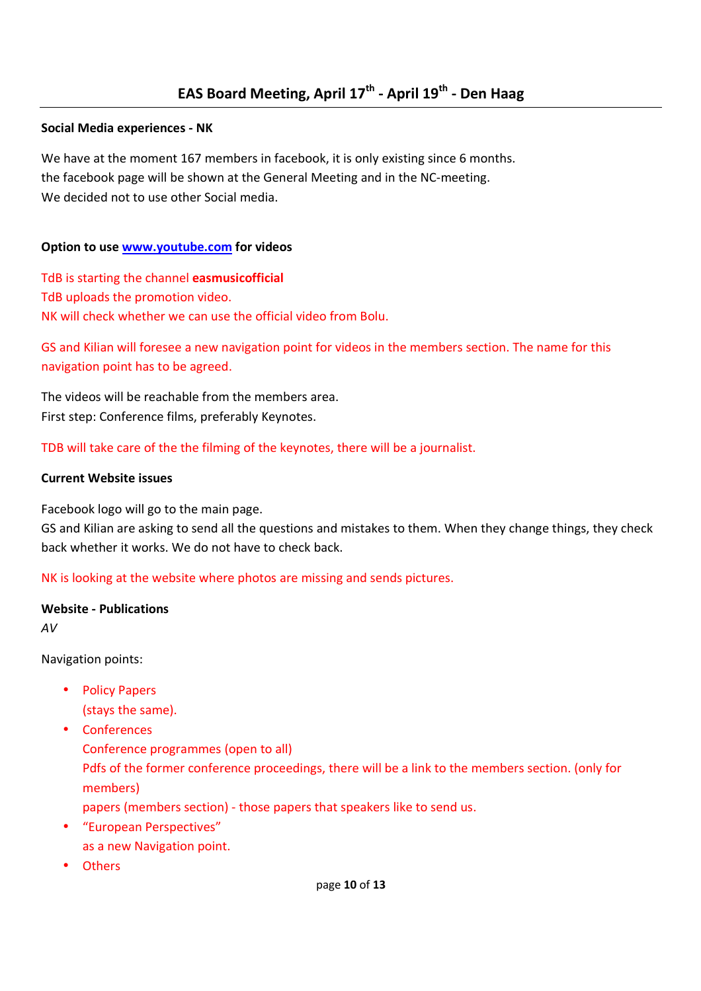#### **Social Media experiences - NK**

We have at the moment 167 members in facebook, it is only existing since 6 months. the facebook page will be shown at the General Meeting and in the NC-meeting. We decided not to use other Social media.

#### **Option to use www.youtube.com for videos**

TdB is starting the channel **easmusicofficial**  TdB uploads the promotion video. NK will check whether we can use the official video from Bolu.

GS and Kilian will foresee a new navigation point for videos in the members section. The name for this navigation point has to be agreed.

The videos will be reachable from the members area. First step: Conference films, preferably Keynotes.

TDB will take care of the the filming of the keynotes, there will be a journalist.

#### **Current Website issues**

Facebook logo will go to the main page.

GS and Kilian are asking to send all the questions and mistakes to them. When they change things, they check back whether it works. We do not have to check back.

NK is looking at the website where photos are missing and sends pictures.

#### **Website - Publications**

*AV* 

Navigation points:

- Policy Papers
	- (stays the same).
- Conferences Conference programmes (open to all) Pdfs of the former conference proceedings, there will be a link to the members section. (only for members)
	- papers (members section) those papers that speakers like to send us.
- "European Perspectives" as a new Navigation point.
- Others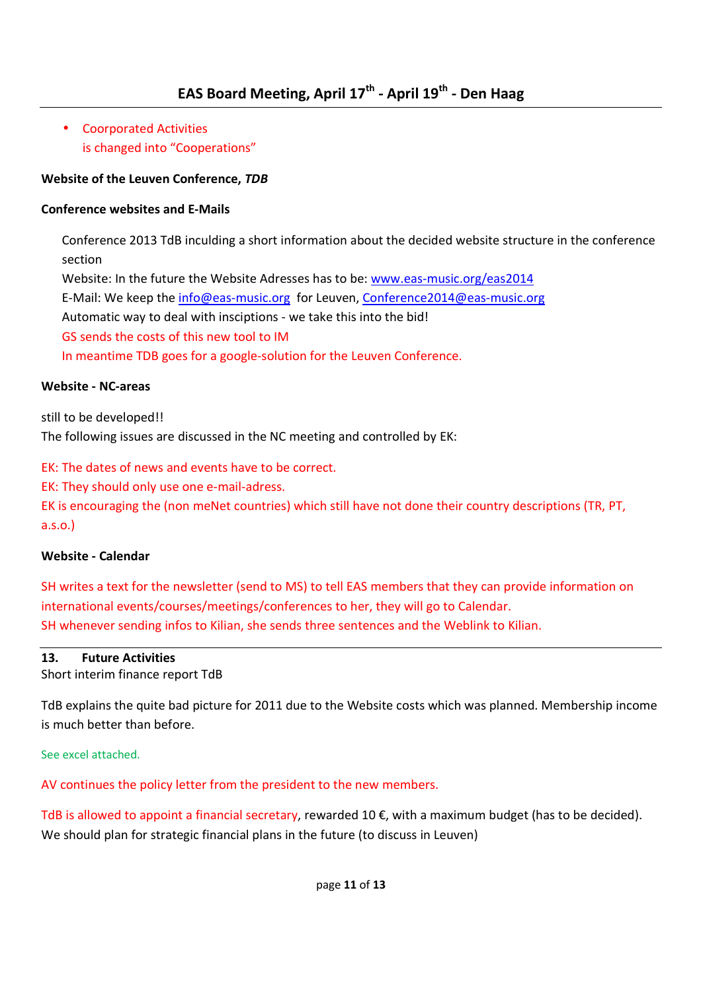• Coorporated Activities is changed into "Cooperations"

## **Website of the Leuven Conference,** *TDB*

### **Conference websites and E-Mails**

Conference 2013 TdB inculding a short information about the decided website structure in the conference section

Website: In the future the Website Adresses has to be: www.eas-music.org/eas2014

E-Mail: We keep the info@eas-music.org for Leuven, Conference2014@eas-music.org

Automatic way to deal with insciptions - we take this into the bid!

GS sends the costs of this new tool to IM

In meantime TDB goes for a google-solution for the Leuven Conference.

#### **Website - NC-areas**

still to be developed!!

The following issues are discussed in the NC meeting and controlled by EK:

EK: The dates of news and events have to be correct.

EK: They should only use one e-mail-adress.

EK is encouraging the (non meNet countries) which still have not done their country descriptions (TR, PT, a.s.o.)

#### **Website - Calendar**

SH writes a text for the newsletter (send to MS) to tell EAS members that they can provide information on international events/courses/meetings/conferences to her, they will go to Calendar. SH whenever sending infos to Kilian, she sends three sentences and the Weblink to Kilian.

#### **13. Future Activities**

Short interim finance report TdB

TdB explains the quite bad picture for 2011 due to the Website costs which was planned. Membership income is much better than before.

See excel attached.

AV continues the policy letter from the president to the new members.

TdB is allowed to appoint a financial secretary, rewarded 10 €, with a maximum budget (has to be decided). We should plan for strategic financial plans in the future (to discuss in Leuven)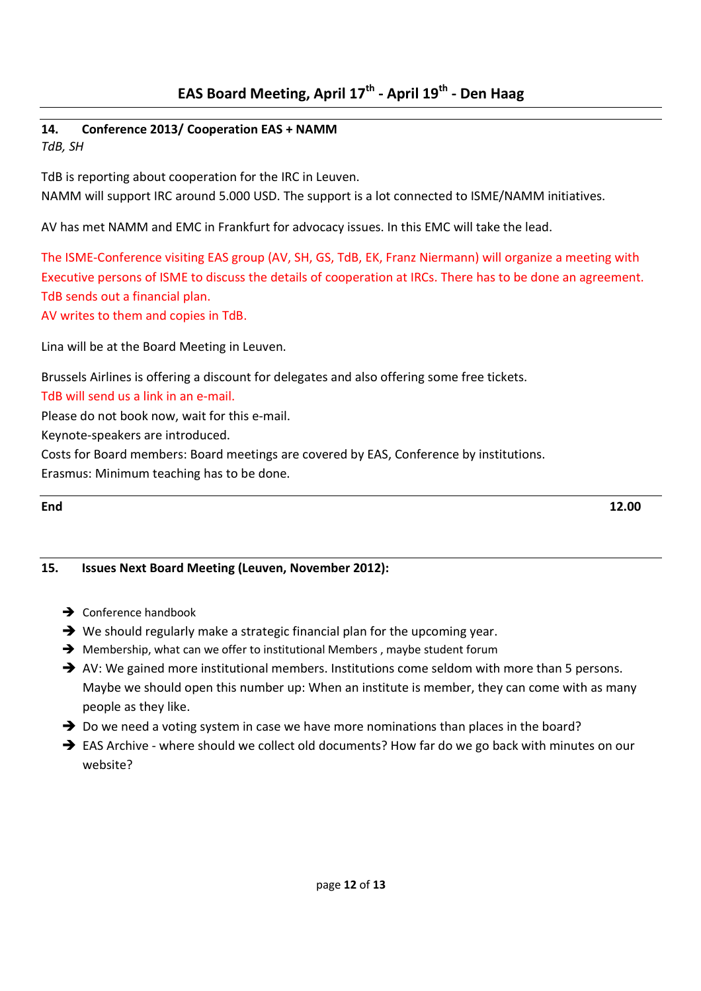#### **14. Conference 2013/ Cooperation EAS + NAMM**  *TdB, SH*

TdB is reporting about cooperation for the IRC in Leuven. NAMM will support IRC around 5.000 USD. The support is a lot connected to ISME/NAMM initiatives.

AV has met NAMM and EMC in Frankfurt for advocacy issues. In this EMC will take the lead.

The ISME-Conference visiting EAS group (AV, SH, GS, TdB, EK, Franz Niermann) will organize a meeting with Executive persons of ISME to discuss the details of cooperation at IRCs. There has to be done an agreement. TdB sends out a financial plan.

AV writes to them and copies in TdB.

Lina will be at the Board Meeting in Leuven.

Brussels Airlines is offering a discount for delegates and also offering some free tickets.

TdB will send us a link in an e-mail.

Please do not book now, wait for this e-mail.

Keynote-speakers are introduced.

Costs for Board members: Board meetings are covered by EAS, Conference by institutions.

Erasmus: Minimum teaching has to be done.

**End 12.00** 

#### **15. Issues Next Board Meeting (Leuven, November 2012):**

- → Conference handbook
- $\rightarrow$  We should regularly make a strategic financial plan for the upcoming year.
- → Membership, what can we offer to institutional Members, maybe student forum
- AV: We gained more institutional members. Institutions come seldom with more than 5 persons. Maybe we should open this number up: When an institute is member, they can come with as many people as they like.
- → Do we need a voting system in case we have more nominations than places in the board?
- → EAS Archive where should we collect old documents? How far do we go back with minutes on our website?